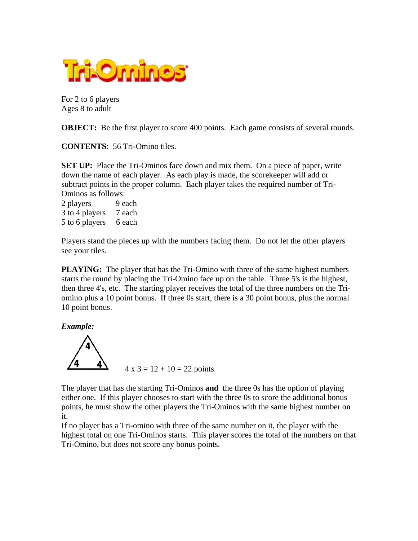

For 2 to 6 players Ages 8 to adult

**OBJECT:** Be the first player to score 400 points. Each game consists of several rounds.

**CONTENTS**: 56 Tri-Omino tiles.

**SET UP:** Place the Tri-Ominos face down and mix them. On a piece of paper, write down the name of each player. As each play is made, the scorekeeper will add or subtract points in the proper column. Each player takes the required number of Tri-Ominos as follows:

2 players 9 each 3 to 4 players 7 each 5 to 6 players 6 each

Players stand the pieces up with the numbers facing them. Do not let the other players see your tiles.

**PLAYING:** The player that has the Tri-Omino with three of the same highest numbers starts the round by placing the Tri-Omino face up on the table. Three 5's is the highest, then three 4's, etc. The starting player receives the total of the three numbers on the Triomino plus a 10 point bonus. If three 0s start, there is a 30 point bonus, plus the normal 10 point bonus.

*Example:*



The player that has the starting Tri-Ominos **and** the three 0s has the option of playing either one. If this player chooses to start with the three 0s to score the additional bonus points, he must show the other players the Tri-Ominos with the same highest number on it.

If no player has a Tri-omino with three of the same number on it, the player with the highest total on one Tri-Ominos starts. This player scores the total of the numbers on that Tri-Omino, but does not score any bonus points.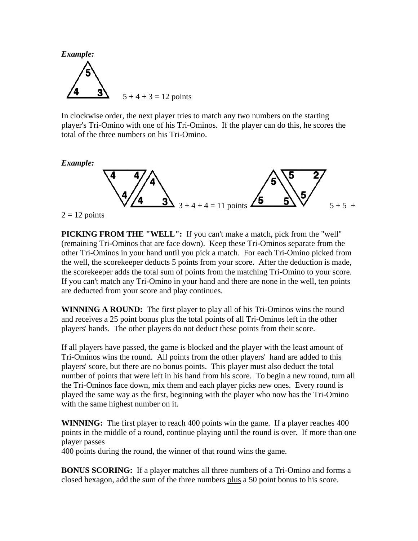

In clockwise order, the next player tries to match any two numbers on the starting player's Tri-Omino with one of his Tri-Ominos. If the player can do this, he scores the total of the three numbers on his Tri-Omino.





 $2 = 12$  points

**PICKING FROM THE "WELL":** If you can't make a match, pick from the "well" (remaining Tri-Ominos that are face down). Keep these Tri-Ominos separate from the other Tri-Ominos in your hand until you pick a match. For each Tri-Omino picked from the well, the scorekeeper deducts 5 points from your score. After the deduction is made, the scorekeeper adds the total sum of points from the matching Tri-Omino to your score. If you can't match any Tri-Omino in your hand and there are none in the well, ten points are deducted from your score and play continues.

**WINNING A ROUND:** The first player to play all of his Tri-Ominos wins the round and receives a 25 point bonus plus the total points of all Tri-Ominos left in the other players' hands. The other players do not deduct these points from their score.

If all players have passed, the game is blocked and the player with the least amount of Tri-Ominos wins the round. All points from the other players' hand are added to this players' score, but there are no bonus points. This player must also deduct the total number of points that were left in his hand from his score. To begin a new round, turn all the Tri-Ominos face down, mix them and each player picks new ones. Every round is played the same way as the first, beginning with the player who now has the Tri-Omino with the same highest number on it.

**WINNING:** The first player to reach 400 points win the game. If a player reaches 400 points in the middle of a round, continue playing until the round is over. If more than one player passes

400 points during the round, the winner of that round wins the game.

**BONUS SCORING:** If a player matches all three numbers of a Tri-Omino and forms a closed hexagon, add the sum of the three numbers plus a 50 point bonus to his score.